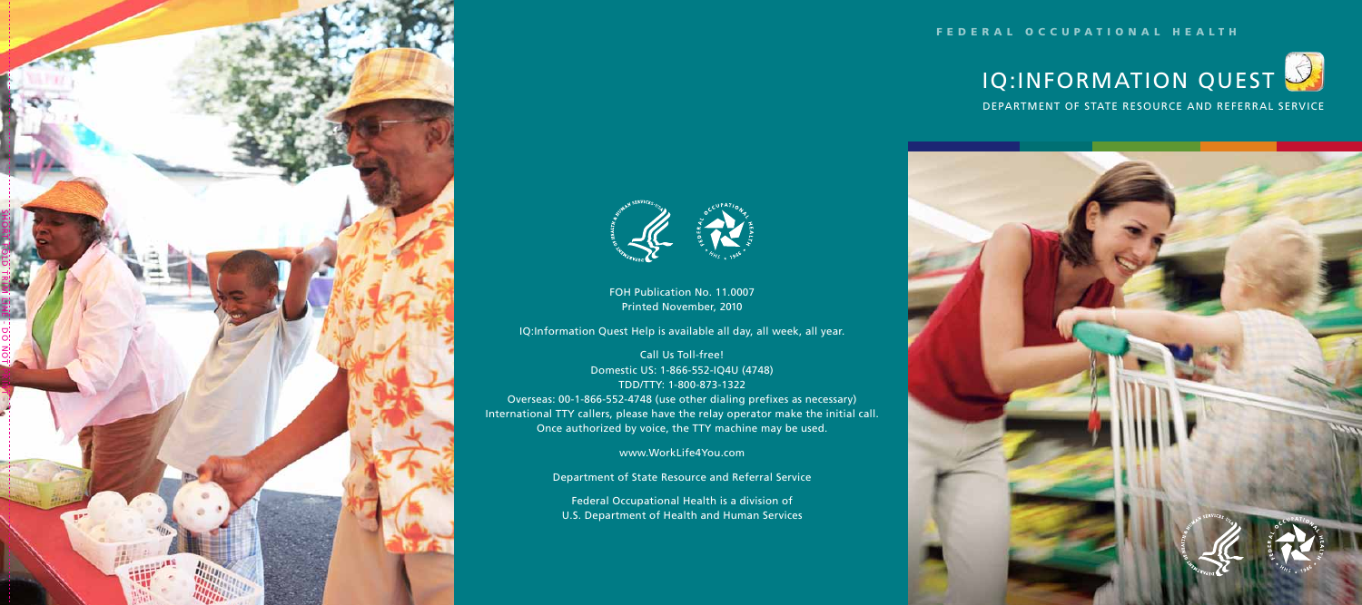



FOH Publication No. 11.0007 Printed November, 2010

IQ:Information Quest Help is available all day, all week, all year.

Call Us Toll-free! Domestic US: 1-866-552-IQ4U (4748) TDD/TTY: 1-800-873-1322 Overseas: 00-1-866-552-4748 (use other dialing prefixes as necessary)

International TTY callers, please have the relay operator make the initial call. Once authorized by voice, the TTY machine may be used.

www.WorkLife4You.com

Department of State Resource and Referral Service

Federal Occupational Health is a division of U.S. Department of Health and Human Services

## FEDERAL OCCUPATIONAL HEALTH

DEPARTMENT OF STATE RESOURCE AND REFERRAL SERVICE